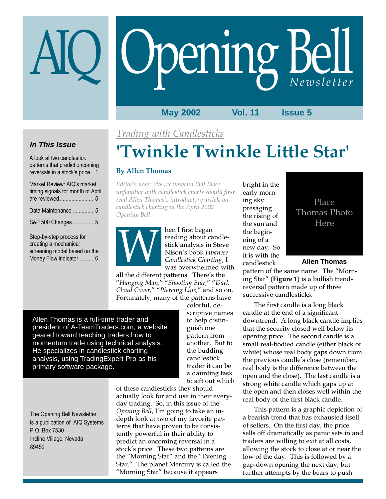# Opening Bell

#### **May 2002 Vol. 11 Issue 5**

Trading with Candlesticks

### **In This Issue**

A look at two candlestick patterns that predict oncoming reversals in a stock's price. 1

| Market Review: AIQ's market<br>timing signals for month of April |
|------------------------------------------------------------------|
| Data Maintenance  5                                              |
| S&P 500 Changes  5                                               |
| Step-by-step process for<br>creating a mechanical                |

screening model based on the Money Flow indicator ......... 6

# 'Twinkle Twinkle Little Star'

#### By Allen Thomas

Editor's note: We recommend that those unfamiliar with candlestick charts should first read Allen Thomas's introductory article on candlestick charting in the April 2002 Opening Bell.



hen I first began reading about candlestick analysis in Steve Nison's book Japanese Candlestick Charting, I was overwhelmed with

all the different patterns. There's the "Hanging Man," "Shooting Star," "Dark Cloud Cover," "Piercing Line," and so on. Fortunately, many of the patterns have

Allen Thomas is a full-time trader and president of A-TeamTraders.com, a website geared toward teaching traders how to momentum trade using technical analysis. He specializes in candlestick charting analysis, using TradingExpert Pro as his primary software package.

colorful, descriptive names to help distinguish one pattern from another. But to the budding candlestick trader it can be a daunting task to sift out which

The Opening Bell Newsletter is a publication of AIQ Systems P.O. Box 7530 Incline Village, Nevada 89452

of these candlesticks they should actually look for and use in their everyday trading. So, in this issue of the Opening Bell, I'm going to take an indepth look at two of my favorite patterns that have proven to be consistently powerful in their ability to predict an oncoming reversal in a stock's price. These two patterns are the "Morning Star" and the "Evening Star." The planet Mercury is called the "Morning Star" because it appears

bright in the early morning sky presaging the rising of the sun and the beginning of a new day. So it is with the candlestick



#### **Allen Thomas**

pattern of the same name. The "Morning Star" (**Figure 1**) is a bullish trendreversal pattern made up of three successive candlesticks.

The first candle is a long black candle at the end of a significant downtrend. A long black candle implies that the security closed well below its opening price. The second candle is a small real-bodied candle (either black or white) whose real body gaps down from the previous candle's close (remember, real body is the difference between the open and the close). The last candle is a strong white candle which gaps up at the open and then closes well within the real body of the first black candle.

This pattern is a graphic depiction of a bearish trend that has exhausted itself of sellers. On the first day, the price sells off dramatically as panic sets in and traders are willing to exit at all costs, allowing the stock to close at or near the low of the day. This is followed by a gap-down opening the next day, but further attempts by the bears to push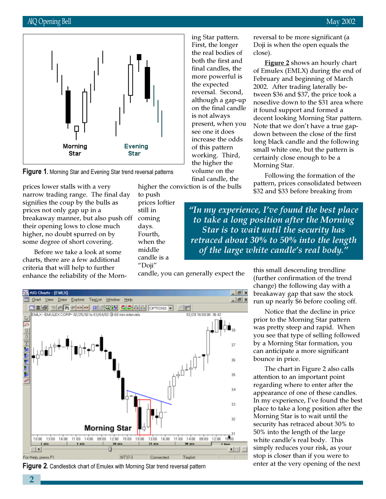

**Figure 1.** Morning Star and Evening Star trend reversal patterns

prices lower stalls with a very narrow trading range. The final day signifies the coup by the bulls as prices not only gap up in a breakaway manner, but also push off their opening lows to close much higher, no doubt spurred on by some degree of short covering.

Before we take a look at some charts, there are a few additional criteria that will help to further enhance the reliability of the Morn-

to push prices loftier still in coming days. Fourth, when the middle candle is a "Doji"

ing Star pattern. First, the longer the real bodies of both the first and final candles, the more powerful is the expected reversal. Second, although a gap-up on the final candle is not always present, when you see one it does increase the odds of this pattern working. Third, the higher the volume on the final candle, the

higher the conviction is of the bulls

reversal to be more significant (a Doji is when the open equals the close).

**Figure 2** shows an hourly chart of Emulex (EMLX) during the end of February and beginning of March 2002. After trading laterally between \$36 and \$37, the price took a nosedive down to the \$31 area where it found support and formed a decent looking Morning Star pattern. Note that we don't have a true gapdown between the close of the first long black candle and the following small white one, but the pattern is certainly close enough to be a Morning Star.

Following the formation of the pattern, prices consolidated between \$32 and \$33 before breaking from

"In my experience, I've found the best place to take a long position after the Morning Star is to wait until the security has retraced about 30% to 50% into the length of the large white candle's real body."

candle, you can generally expect the



**Figure 2.** Candlestick chart of Emulex with Morning Star trend reversal pattern

this small descending trendline (further confirmation of the trend change) the following day with a breakaway gap that saw the stock run up nearly \$6 before cooling off.

Notice that the decline in price prior to the Morning Star pattern was pretty steep and rapid. When you see that type of selling followed by a Morning Star formation, you can anticipate a more significant bounce in price.

The chart in Figure 2 also calls attention to an important point regarding where to enter after the appearance of one of these candles. In my experience, I've found the best place to take a long position after the Morning Star is to wait until the security has retraced about 30% to 50% into the length of the large white candle's real body. This simply reduces your risk, as your stop is closer than if you were to enter at the very opening of the next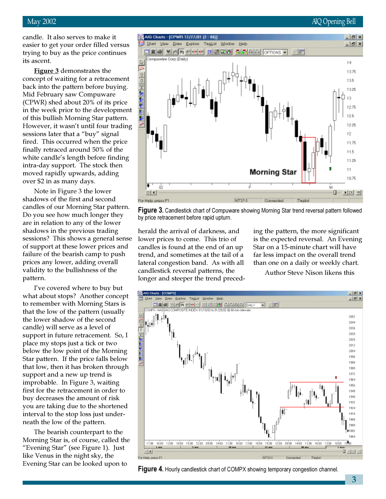candle. It also serves to make it easier to get your order filled versus trying to buy as the price continues its ascent.

**Figure 3** demonstrates the concept of waiting for a retracement back into the pattern before buying. Mid February saw Compuware (CPWR) shed about 20% of its price in the week prior to the development of this bullish Morning Star pattern. However, it wasn't until four trading sessions later that a "buy" signal fired. This occurred when the price finally retraced around 50% of the white candle's length before finding intra-day support. The stock then moved rapidly upwards, adding over \$2 in as many days.

Note in Figure 3 the lower shadows of the first and second candles of our Morning Star pattern. Do you see how much longer they are in relation to any of the lower shadows in the previous trading sessions? This shows a general sense of support at these lower prices and failure of the bearish camp to push prices any lower, adding overall validity to the bullishness of the pattern.

I've covered where to buy but what about stops? Another concept to remember with Morning Stars is that the low of the pattern (usually the lower shadow of the second candle) will serve as a level of support in future retracement. So, I place my stops just a tick or two below the low point of the Morning Star pattern. If the price falls below that low, then it has broken through support and a new up trend is improbable. In Figure 3, waiting first for the retracement in order to buy decreases the amount of risk you are taking due to the shortened interval to the stop loss just underneath the low of the pattern.

The bearish counterpart to the Morning Star is, of course, called the "Evening Star" (see Figure 1). Just like Venus in the night sky, the Evening Star can be looked upon to

#### May 2002 AIQ Opening Bell



Figure 3. Candlestick chart of Compuware showing Morning Star trend reversal pattern followed by price retracement before rapid upturn.

herald the arrival of darkness, and lower prices to come. This trio of candles is found at the end of an up trend, and sometimes at the tail of a lateral congestion band. As with all candlestick reversal patterns, the longer and steeper the trend preceding the pattern, the more significant is the expected reversal. An Evening Star on a 15-minute chart will have far less impact on the overall trend than one on a daily or weekly chart.

Author Steve Nison likens this



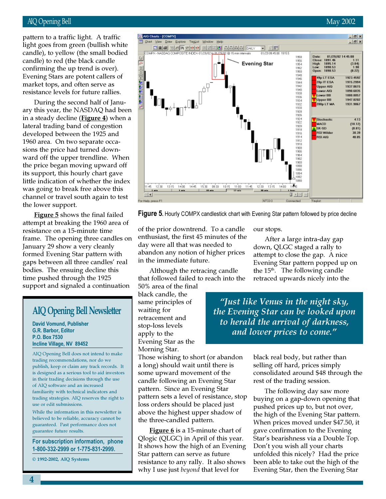#### AIQ Opening Bell May 2002

candle) to red (the black candle pattern to a traffic light. A traffic light goes from green (bullish white candle), to yellow (the small bodied confirming the up trend is over). Evening Stars are potent callers of market tops, and often serve as resistance levels for future rallies.

During the second half of January this year, the NASDAQ had been in a steady decline (**Figure 4**) when a lateral trading band of congestion developed between the 1925 and 1960 area. On two separate occasions the price had turned downward off the upper trendline. When the price began moving upward off its support, this hourly chart gave little indication of whether the index was going to break free above this channel or travel south again to test the lower support.

Figure 5 shows the final failed attempt at breaking the 1960 area of resistance on a 15-minute time frame. The opening three candles on January 29 show a very cleanly formed Evening Star pattern with gaps between all three candles' real bodies. The ensuing decline this time pushed through the 1925 support and signaled a continuation

## AIQ Opening Bell Newsletter

David Vomund, Publisher G.R. Barbor, Editor P.O. Box 7530 Incline Village, NV 89452

AIQ Opening Bell does not intend to make trading recommendations, nor do we publish, keep or claim any track records. It is designed as a serious tool to aid investors in their trading decisions through the use of AIQ software and an increased familiarity with technical indicators and trading strategies. AIQ reserves the right to use or edit submissions.

While the information in this newsletter is believed to be reliable, accuracy cannot be guaranteed. Past performance does not guarantee future results.

For subscription information, phone 1-800-332-2999 or 1-775-831-2999.

© 1992-2002, AIQ Systems



Figure 5. Hourly COMPX candlestick chart with Evening Star pattern followed by price decline

of the prior downtrend. To a candle enthusiast, the first 45 minutes of the day were all that was needed to abandon any notion of higher prices in the immediate future.

Although the retracing candle that followed failed to reach into the 50% area of the final

black candle, the same principles of waiting for retracement and stop-loss levels apply to the Evening Star as the Morning Star.

Those wishing to short (or abandon a long) should wait until there is some upward movement of the candle following an Evening Star pattern. Since an Evening Star pattern sets a level of resistance, stop loss orders should be placed just above the highest upper shadow of the three-candled pattern.

**Figure 6** is a 15-minute chart of Qlogic (QLGC) in April of this year. It shows how the high of an Evening Star pattern can serve as future resistance to any rally. It also shows why I use just *beyond* that level for

our stops.

After a large intra-day gap down, QLGC staged a rally to attempt to close the gap. A nice Evening Star pattern popped up on the  $15<sup>th</sup>$ . The following candle retraced upwards nicely into the

"Just like Venus in the night sky, the Evening Star can be looked upon to herald the arrival of darkness, and lower prices to come."

> black real body, but rather than selling off hard, prices simply consolidated around \$48 through the rest of the trading session.

The following day saw more buying on a gap-down opening that pushed prices up to, but not over, the high of the Evening Star pattern. When prices moved under \$47.50, it gave confirmation to the Evening Star's bearishness via a Double Top. Don't you wish all your charts unfolded this nicely? Had the price been able to take out the high of the Evening Star, then the Evening Star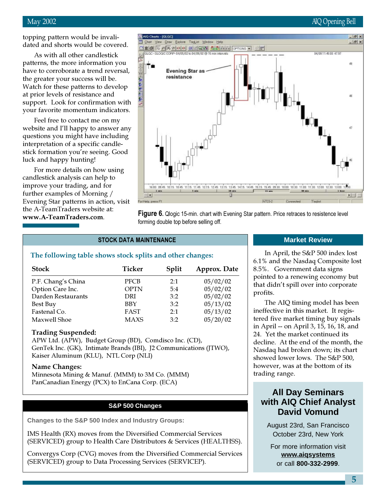#### May 2002 AIQ Opening Bell

topping pattern would be invalidated and shorts would be covered.

As with all other candlestick patterns, the more information you have to corroborate a trend reversal, the greater your success will be. Watch for these patterns to develop at prior levels of resistance and support. Look for confirmation with your favorite momentum indicators.

Feel free to contact me on my website and I'll happy to answer any questions you might have including interpretation of a specific candlestick formation you're seeing. Good luck and happy hunting!

For more details on how using candlestick analysis can help to improve your trading, and for further examples of Morning / Evening Star patterns in action, visit the A-TeamTraders website at: www.A-TeamTraders.com.



**Figure 6.** Qlogic 15-min. chart with Evening Star pattern. Price retraces to resistence level forming double top before selling off.

#### STOCK DATA MAINTENANCE

#### The following table shows stock splits and other changes:

| <b>Stock</b>       | Ticker      | Split | Approx. Date |
|--------------------|-------------|-------|--------------|
| P.F. Chang's China | <b>PFCB</b> | 2:1   | 05/02/02     |
| Option Care Inc.   | <b>OPTN</b> | 5:4   | 05/02/02     |
| Darden Restaurants | DRI         | 3:2   | 05/02/02     |
| Best Buy           | <b>BBY</b>  | 3:2   | 05/13/02     |
| Fastenal Co.       | FAST        | 2.1   | 05/13/02     |
| Maxwell Shoe       | <b>MAXS</b> | 3:2   | 05/20/02     |

#### Trading Suspended:

APW Ltd. (APW), Budget Group (BD), Comdisco Inc. (CD), GenTek Inc. (GK), Intimate Brands (IBI), J2 Communications (JTWO), Kaiser Aluminum (KLU), NTL Corp (NLI)

#### Name Changes:

Minnesota Mining & Manuf. (MMM) to 3M Co. (MMM) PanCanadian Energy (PCX) to EnCana Corp. (ECA)

#### **S&P 500 Changes**

**Changes to the S&P 500 Index and Industry Groups:**

IMS Health (RX) moves from the Diversified Commercial Services (SERVICED) group to Health Care Distributors & Services (HEALTHSS).

Convergys Corp (CVG) moves from the Diversified Commercial Services (SERVICED) group to Data Processing Services (SERVICEP).

#### **Market Review**

In April, the S&P 500 index lost 6.1% and the Nasdaq Composite lost 8.5%. Government data signs pointed to a renewing economy but that didn't spill over into corporate profits.

The AIQ timing model has been ineffective in this market. It registered five market timing buy signals in April -- on April 3, 15, 16, 18, and 24. Yet the market continued its decline. At the end of the month, the Nasdaq had broken down; its chart showed lower lows. The S&P 500, however, was at the bottom of its trading range.

## **All Day Seminars with AIQ Chief Analyst David Vomund**

August 23rd, San Francisco October 23rd, New York

For more information visit **www.aiqsystems** or call **800-332-2999**.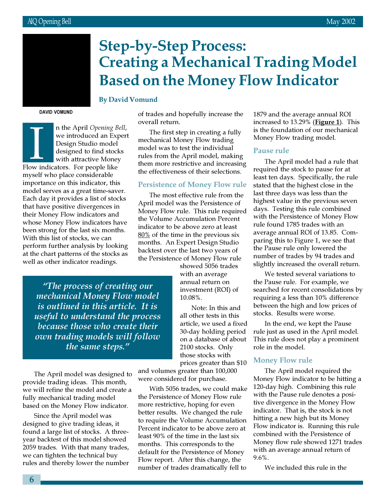

# Step-by-Step Process: Creating a Mechanical Trading Model Based on the Money Flow Indicator

#### By David Vomund

DAVID VOMUND

In the April Opening B<br>
we introduced an Ex<br>
Design Studio model<br>
designed to find stoc<br>
with attractive Mone<br>
Flow indicators. For people like n the April Opening Bell, we introduced an Expert Design Studio model designed to find stocks with attractive Money myself who place considerable importance on this indicator, this model serves as a great time-saver. Each day it provides a list of stocks that have positive divergences in their Money Flow indicators and whose Money Flow indicators have been strong for the last six months. With this list of stocks, we can perform further analysis by looking at the chart patterns of the stocks as well as other indicator readings.

of trades and hopefully increase the overall return.

The first step in creating a fully mechanical Money Flow trading model was to test the individual rules from the April model, making them more restrictive and increasing the effectiveness of their selections.

#### Persistence of Money Flow rule

The most effective rule from the April model was the Persistence of Money Flow rule. This rule required the Volume Accumulation Percent indicator to be above zero at least 80% of the time in the previous six months. An Expert Design Studio backtest over the last two years of the Persistence of Money Flow rule

> showed 5056 trades with an average annual return on investment (ROI) of 10.08%.

Note: In this and all other tests in this article, we used a fixed 30-day holding period on a database of about 2100 stocks. Only those stocks with prices greater than \$10

and volumes greater than 100,000 were considered for purchase.

With 5056 trades, we could make the Persistence of Money Flow rule more restrictive, hoping for even better results. We changed the rule to require the Volume Accumulation Percent indicator to be above zero at least 90% of the time in the last six months. This corresponds to the default for the Persistence of Money Flow report. After this change, the number of trades dramatically fell to

1879 and the average annual ROI increased to 13.29% (Figure 1). This is the foundation of our mechanical Money Flow trading model.

#### Pause rule

The April model had a rule that required the stock to pause for at least ten days. Specifically, the rule stated that the highest close in the last three days was less than the highest value in the previous seven days. Testing this rule combined with the Persistence of Money Flow rule found 1785 trades with an average annual ROI of 13.85. Comparing this to Figure 1, we see that the Pause rule only lowered the number of trades by 94 trades and slightly increased the overall return.

We tested several variations to the Pause rule. For example, we searched for recent consolidations by requiring a less than 10% difference between the high and low prices of stocks. Results were worse.

In the end, we kept the Pause rule just as used in the April model. This rule does not play a prominent role in the model.

#### Money Flow rule

The April model required the Money Flow indicator to be hitting a 120-day high. Combining this rule with the Pause rule denotes a positive divergence in the Money Flow indicator. That is, the stock is not hitting a new high but its Money Flow indicator is. Running this rule combined with the Persistence of Money flow rule showed 1271 trades with an average annual return of 9.6%.

We included this rule in the

"The process of creating our mechanical Money Flow model is outlined in this article. It is useful to understand the process because those who create their own trading models will follow the same steps."

The April model was designed to provide trading ideas. This month, we will refine the model and create a fully mechanical trading model based on the Money Flow indicator.

Since the April model was designed to give trading ideas, it found a large list of stocks. A threeyear backtest of this model showed 2059 trades. With that many trades, we can tighten the technical buy rules and thereby lower the number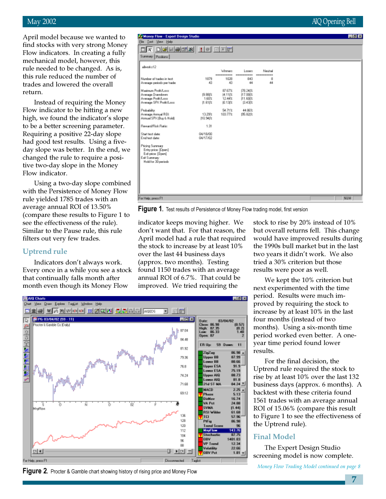#### May 2002 AIQ Opening Bell

April model because we wanted to find stocks with very strong Money Flow indicators. In creating a fully mechanical model, however, this rule needed to be changed. As is, this rule reduced the number of trades and lowered the overall return.

Instead of requiring the Money Flow indicator to be hitting a new high, we found the indicator's slope to be a better screening parameter. Requiring a positive 22-day slope had good test results. Using a fiveday slope was better. In the end, we changed the rule to require a positive two-day slope in the Money Flow indicator.

Using a two-day slope combined with the Persistence of Money Flow rule yielded 1785 trades with an average annual ROI of 13.50% (compare these results to Figure 1 to see the effectiveness of the rule). Similar to the Pause rule, this rule filters out very few trades.

#### Uptrend rule

图 All Chats

Indicators don't always work. Every once in a while you see a stock that continually falls month after month even though its Money Flow

You Draw Explore TagList Window Help



**Figure 1.** Test results of Persistence of Money Flow trading model, first version

同向区

indicator keeps moving higher. We don't want that. For that reason, the April model had a rule that required the stock to increase by at least 10% over the last 44 business days (approx. two months). Testing found 1150 trades with an average annual ROI of 6.7%. That could be improved. We tried requiring the

stock to rise by 20% instead of 10% but overall returns fell. This change would have improved results during the 1990s bull market but in the last two years it didn't work. We also tried a 30% criterion but those results were poor as well.

We kept the 10% criterion but next experimented with the time period. Results were much improved by requiring the stock to increase by at least 10% in the last four months (instead of two months). Using a six-month time period worked even better. A oneyear time period found lower results.

For the final decision, the Uptrend rule required the stock to rise by at least 10% over the last 132 business days (approx. 6 months). A backtest with these criteria found 1561 trades with an average annual ROI of 15.06% (compare this result to Figure 1 to see the effectiveness of the Uptrend rule).

#### Final Model

The Expert Design Studio screening model is now complete.

Figure 2. Procter & Gamble chart showing history of rising price and Money Flow



Money Flow Trading Model continued on page 8